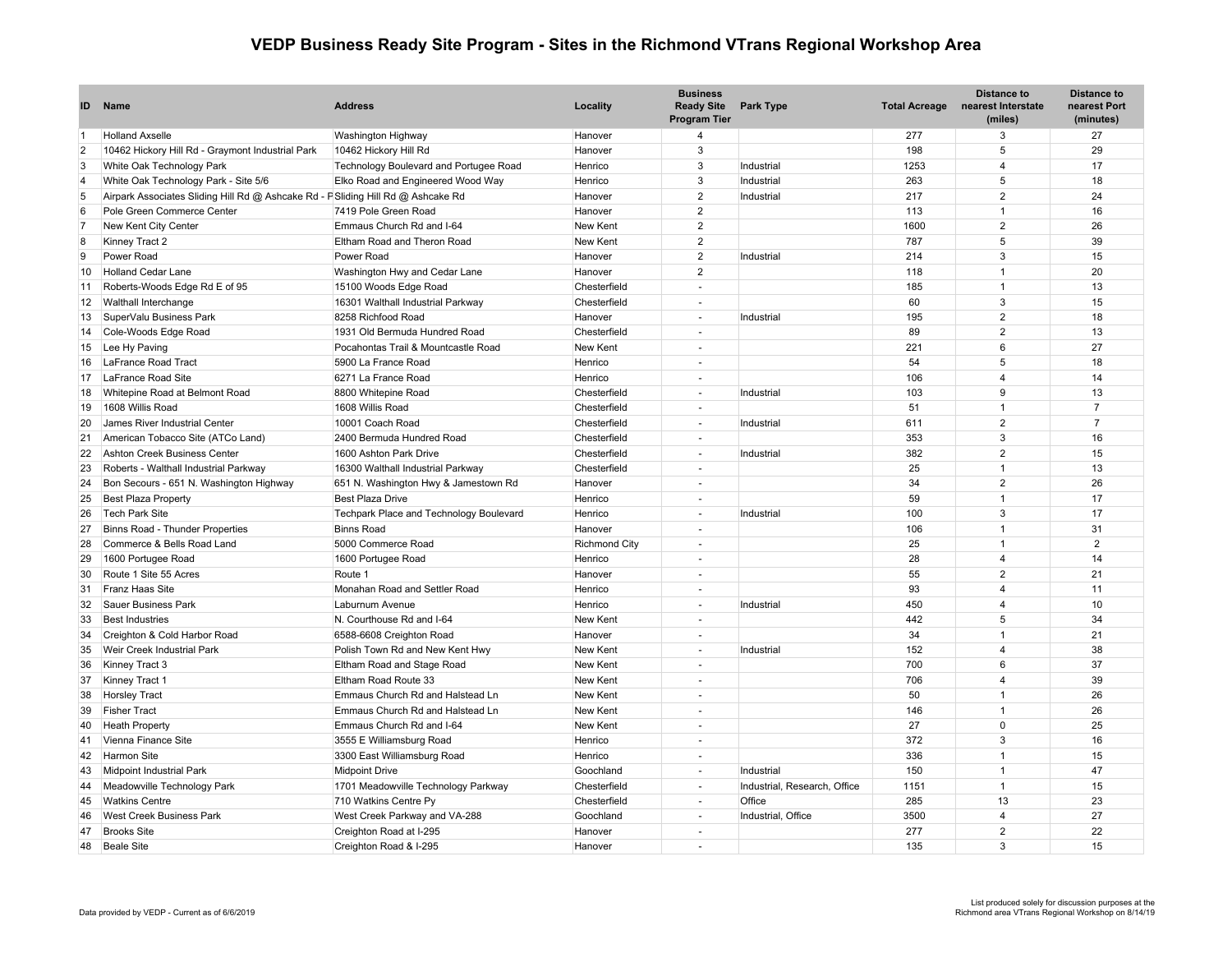## **VEDP Business Ready Site Program - Sites in the Richmond VTrans Regional Workshop Area**

| ID             | Name                                                                             | <b>Address</b>                          | Locality             | <b>Business</b><br><b>Ready Site</b><br><b>Program Tier</b> | <b>Park Type</b>             | <b>Total Acreage</b> | <b>Distance to</b><br>nearest Interstate<br>(miles) | <b>Distance to</b><br>nearest Port<br>(minutes) |
|----------------|----------------------------------------------------------------------------------|-----------------------------------------|----------------------|-------------------------------------------------------------|------------------------------|----------------------|-----------------------------------------------------|-------------------------------------------------|
| $\overline{1}$ | <b>Holland Axselle</b>                                                           | Washington Highway                      | Hanover              | $\overline{4}$                                              |                              | 277                  | 3                                                   | 27                                              |
| $\overline{2}$ | 10462 Hickory Hill Rd - Graymont Industrial Park                                 | 10462 Hickory Hill Rd                   | Hanover              | 3                                                           |                              | 198                  | 5                                                   | 29                                              |
| 3              | White Oak Technology Park                                                        | Technology Boulevard and Portugee Road  | Henrico              | $\mathbf{3}$                                                | Industrial                   | 1253                 | $\overline{4}$                                      | 17                                              |
| $\overline{4}$ | White Oak Technology Park - Site 5/6                                             | Elko Road and Engineered Wood Way       | Henrico              | 3                                                           | Industrial                   | 263                  | 5                                                   | 18                                              |
| 5              | Airpark Associates Sliding Hill Rd @ Ashcake Rd - F Sliding Hill Rd @ Ashcake Rd |                                         | Hanover              | $\overline{2}$                                              | Industrial                   | 217                  | $\overline{2}$                                      | 24                                              |
| 6              | Pole Green Commerce Center                                                       | 7419 Pole Green Road                    | Hanover              | $\overline{2}$                                              |                              | 113                  | $\overline{1}$                                      | 16                                              |
| $\overline{7}$ | New Kent City Center                                                             | Emmaus Church Rd and I-64               | New Kent             | $\overline{2}$                                              |                              | 1600                 | $\overline{2}$                                      | 26                                              |
| 8              | Kinney Tract 2                                                                   | Eltham Road and Theron Road             | <b>New Kent</b>      | $\overline{2}$                                              |                              | 787                  | 5                                                   | 39                                              |
| 9              | Power Road                                                                       | Power Road                              | Hanover              | $\overline{2}$                                              | Industrial                   | 214                  | 3                                                   | 15                                              |
| 10             | <b>Holland Cedar Lane</b>                                                        | Washington Hwy and Cedar Lane           | Hanover              | $\overline{2}$                                              |                              | 118                  | $\overline{1}$                                      | 20                                              |
| 11             | Roberts-Woods Edge Rd E of 95                                                    | 15100 Woods Edge Road                   | Chesterfield         | $\sim$                                                      |                              | 185                  | $\overline{1}$                                      | 13                                              |
| 12             | Walthall Interchange                                                             | 16301 Walthall Industrial Parkway       | Chesterfield         | $\sim$                                                      |                              | 60                   | $\mathbf{3}$                                        | 15                                              |
| 13             | SuperValu Business Park                                                          | 8258 Richfood Road                      | Hanover              | $\sim$                                                      | Industrial                   | 195                  | 2                                                   | 18                                              |
| 14             | Cole-Woods Edge Road                                                             | 1931 Old Bermuda Hundred Road           | Chesterfield         | i a                                                         |                              | 89                   | $\overline{2}$                                      | 13                                              |
| 15             | Lee Hy Paving                                                                    | Pocahontas Trail & Mountcastle Road     | <b>New Kent</b>      | $\sim$                                                      |                              | 221                  | 6                                                   | 27                                              |
| 16             | LaFrance Road Tract                                                              | 5900 La France Road                     | Henrico              | $\overline{a}$                                              |                              | 54                   | 5                                                   | 18                                              |
| 17             | LaFrance Road Site                                                               | 6271 La France Road                     | Henrico              | $\sim$                                                      |                              | 106                  | $\overline{4}$                                      | 14                                              |
| 18             | Whitepine Road at Belmont Road                                                   | 8800 Whitepine Road                     | Chesterfield         | $\sim$                                                      | Industrial                   | 103                  | 9                                                   | 13                                              |
| 19             | 1608 Willis Road                                                                 | 1608 Willis Road                        | Chesterfield         | $\sim$                                                      |                              | 51                   | $\overline{1}$                                      | $\overline{7}$                                  |
| 20             | James River Industrial Center                                                    | 10001 Coach Road                        | Chesterfield         | $\sim$                                                      | Industrial                   | 611                  | 2                                                   | $\overline{7}$                                  |
| 21             | American Tobacco Site (ATCo Land)                                                | 2400 Bermuda Hundred Road               | Chesterfield         | $\sim$                                                      |                              | 353                  | 3                                                   | 16                                              |
| 22             | Ashton Creek Business Center                                                     | 1600 Ashton Park Drive                  | Chesterfield         | $\sim$                                                      | Industrial                   | 382                  | $\overline{2}$                                      | 15                                              |
| 23             | Roberts - Walthall Industrial Parkway                                            | 16300 Walthall Industrial Parkway       | Chesterfield         |                                                             |                              | 25                   | $\overline{1}$                                      | 13                                              |
| 24             | Bon Secours - 651 N. Washington Highway                                          | 651 N. Washington Hwy & Jamestown Rd    | Hanover              |                                                             |                              | 34                   | 2                                                   | 26                                              |
| 25             | <b>Best Plaza Property</b>                                                       | <b>Best Plaza Drive</b>                 | Henrico              |                                                             |                              | 59                   | $\overline{1}$                                      | 17                                              |
| 26             | <b>Tech Park Site</b>                                                            | Techpark Place and Technology Boulevard | Henrico              |                                                             | Industrial                   | 100                  | 3                                                   | 17                                              |
| 27             | Binns Road - Thunder Properties                                                  | <b>Binns Road</b>                       | Hanover              |                                                             |                              | 106                  | $\overline{1}$                                      | 31                                              |
| 28             | Commerce & Bells Road Land                                                       | 5000 Commerce Road                      | <b>Richmond City</b> |                                                             |                              | 25                   | $\overline{1}$                                      | $\overline{2}$                                  |
| 29             | 1600 Portugee Road                                                               | 1600 Portugee Road                      | Henrico              | $\overline{a}$                                              |                              | 28                   | $\overline{4}$                                      | 14                                              |
| 30             | Route 1 Site 55 Acres                                                            | Route 1                                 | Hanover              | $\sim$                                                      |                              | 55                   | $\overline{2}$                                      | 21                                              |
| 31             | <b>Franz Haas Site</b>                                                           | Monahan Road and Settler Road           | Henrico              |                                                             |                              | 93                   | $\overline{4}$                                      | 11                                              |
| 32             | <b>Sauer Business Park</b>                                                       | Laburnum Avenue                         | Henrico              |                                                             | Industrial                   | 450                  | $\overline{4}$                                      | 10                                              |
| 33             | <b>Best Industries</b>                                                           | N. Courthouse Rd and I-64               | <b>New Kent</b>      |                                                             |                              | 442                  | 5                                                   | 34                                              |
| 34             | Creighton & Cold Harbor Road                                                     | 6588-6608 Creighton Road                | Hanover              | $\overline{\phantom{a}}$                                    |                              | 34                   | $\overline{1}$                                      | 21                                              |
| 35             | Weir Creek Industrial Park                                                       | Polish Town Rd and New Kent Hwy         | <b>New Kent</b>      | $\sim$                                                      | Industrial                   | 152                  | $\overline{4}$                                      | 38                                              |
| 36             | Kinney Tract 3                                                                   | Eltham Road and Stage Road              | New Kent             | $\overline{a}$                                              |                              | 700                  | 6                                                   | 37                                              |
| 37             | Kinney Tract 1                                                                   | Eltham Road Route 33                    | <b>New Kent</b>      | $\overline{a}$                                              |                              | 706                  | $\overline{4}$                                      | 39                                              |
| 38             | <b>Horsley Tract</b>                                                             | Emmaus Church Rd and Halstead Ln        | <b>New Kent</b>      | $\overline{a}$                                              |                              | 50                   | $\overline{1}$                                      | 26                                              |
| 39             | <b>Fisher Tract</b>                                                              | Emmaus Church Rd and Halstead Ln        | <b>New Kent</b>      |                                                             |                              | 146                  | $\overline{1}$                                      | 26                                              |
| 40             | <b>Heath Property</b>                                                            | Emmaus Church Rd and I-64               | <b>New Kent</b>      |                                                             |                              | 27                   | $\Omega$                                            | 25                                              |
| 41             | Vienna Finance Site                                                              | 3555 E Williamsburg Road                | Henrico              |                                                             |                              | 372                  | $\mathbf{3}$                                        | 16                                              |
| 42             | Harmon Site                                                                      | 3300 East Williamsburg Road             | Henrico              | $\sim$                                                      |                              | 336                  | $\overline{1}$                                      | 15                                              |
| 43             | Midpoint Industrial Park                                                         | <b>Midpoint Drive</b>                   | Goochland            | $\sim$                                                      | Industrial                   | 150                  | $\overline{1}$                                      | 47                                              |
| 44             | Meadowville Technology Park                                                      | 1701 Meadowville Technology Parkway     | Chesterfield         | $\sim$                                                      | Industrial, Research, Office | 1151                 | $\overline{1}$                                      | 15                                              |
| 45             | <b>Watkins Centre</b>                                                            | 710 Watkins Centre Py                   | Chesterfield         | $\sim$                                                      | Office                       | 285                  | 13                                                  | 23                                              |
| 46             | <b>West Creek Business Park</b>                                                  | West Creek Parkway and VA-288           | Goochland            | $\sim$                                                      | Industrial, Office           | 3500                 | $\overline{4}$                                      | 27                                              |
| 47             | <b>Brooks Site</b>                                                               | Creighton Road at I-295                 | Hanover              |                                                             |                              | 277                  | $\overline{2}$                                      | 22                                              |
| 48             | <b>Beale Site</b>                                                                | Creighton Road & I-295                  | Hanover              |                                                             |                              | 135                  | 3                                                   | 15                                              |